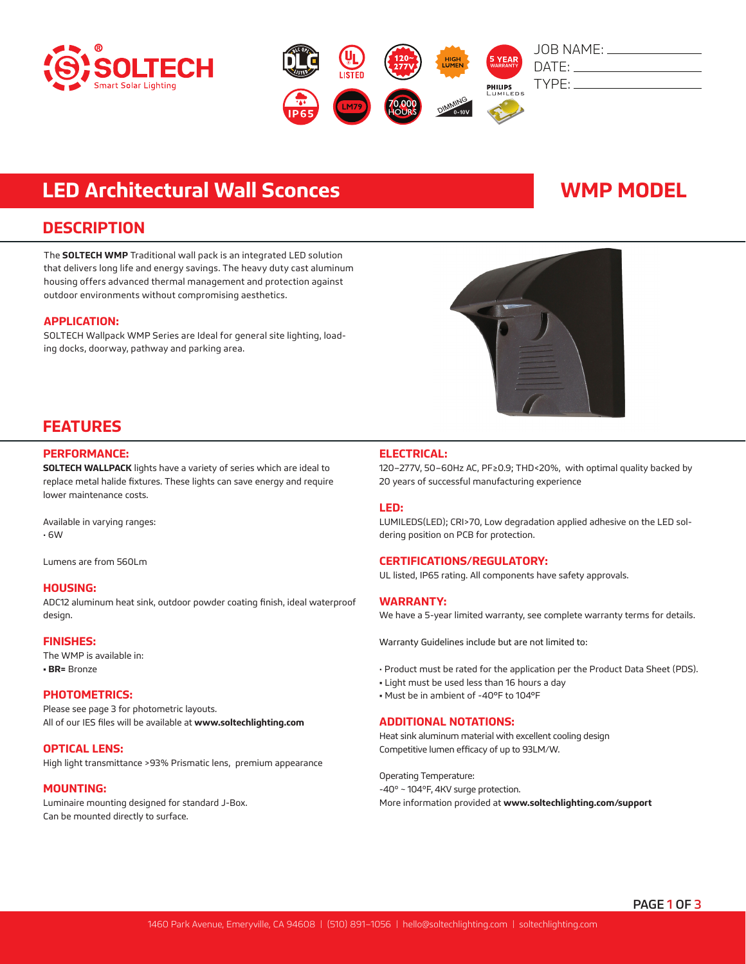



# **LED Architectural Wall Sconces WMP MODEL**

### **DESCRIPTION**

The **SOLTECH WMP** Traditional wall pack is an integrated LED solution that delivers long life and energy savings. The heavy duty cast aluminum housing offers advanced thermal management and protection against outdoor environments without compromising aesthetics.

#### **APPLICATION:**

SOLTECH Wallpack WMP Series are Ideal for general site lighting, loading docks, doorway, pathway and parking area.



## **FEATURES**

### **PERFORMANCE:**

**SOLTECH WALLPACK** lights have a variety of series which are ideal to replace metal halide fixtures. These lights can save energy and require lower maintenance costs.

Available in varying ranges: • 6W

Lumens are from 560Lm

#### **HOUSING:**

ADC12 aluminum heat sink, outdoor powder coating finish, ideal waterproof design.

#### **FINISHES:**

The WMP is available in: **• BR=** Bronze

#### **PHOTOMETRICS:**

Please see page 3 for photometric layouts. All of our IES files will be available at **www.soltechlighting.com**

#### **OPTICAL LENS:**

High light transmittance >93% Prismatic lens, premium appearance

#### **MOUNTING:**

Luminaire mounting designed for standard J-Box. Can be mounted directly to surface.

### **ELECTRICAL:**

120–277V, 50–60Hz AC, PF≥0.9; THD<20%, with optimal quality backed by 20 years of successful manufacturing experience

#### **LED:**

LUMILEDS(LED); CRI>70, Low degradation applied adhesive on the LED soldering position on PCB for protection.

### **CERTIFICATIONS/REGULATORY:**

UL listed, IP65 rating. All components have safety approvals.

#### **WARRANTY:**

We have a 5-year limited warranty, see complete warranty terms for details.

Warranty Guidelines include but are not limited to:

- Product must be rated for the application per the Product Data Sheet (PDS).
- Light must be used less than 16 hours a day
- Must be in ambient of -40°F to 104°F

### **ADDITIONAL NOTATIONS:**

Heat sink aluminum material with excellent cooling design Competitive lumen efficacy of up to 93LM/W.

Operating Temperature: -40º ~ 104ºF, 4KV surge protection. More information provided at **www.soltechlighting.com/support**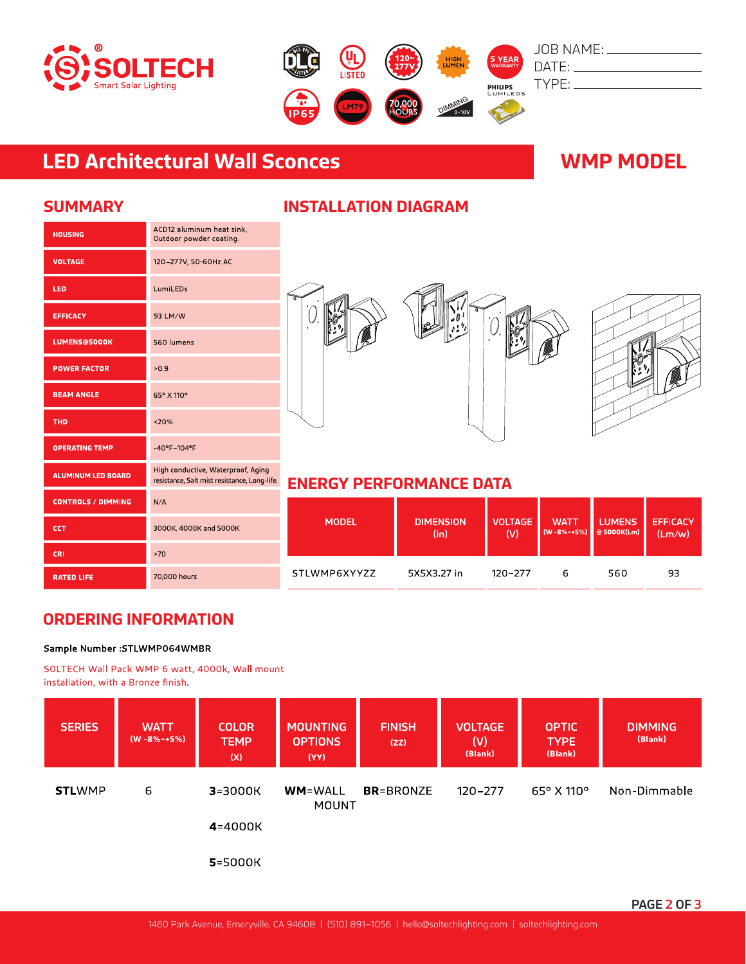



# **LED Architectural Wall Sconces WMP MODEL**

| <b>HOUSING</b>            | ACD12 aluminum heat sink,<br>Outdoor powder coating.                               |
|---------------------------|------------------------------------------------------------------------------------|
| <b>VOLTAGE</b>            | 120-277V, 50-60Hz AC                                                               |
| LED                       | LumiLEDs                                                                           |
| <b>EFFICACY</b>           | 93 LM/W                                                                            |
| <b>LUMENS@5000K</b>       | 560 lumens                                                                         |
| <b>POWER FACTOR</b>       | >0.9                                                                               |
| <b>BEAM ANGLE</b>         | 65° X 110°                                                                         |
| <b>THD</b>                | < 20%                                                                              |
| <b>OPERATING TEMP</b>     | $-40^{\circ}$ F $-104^{\circ}$ F                                                   |
| <b>ALUMINUM LED BOARD</b> | High conductive, Waterproof, Aging<br>resistance, Salt mist resistance, Long-life. |
| <b>CONTROLS / DIMMING</b> | N/A                                                                                |
| <b>CCT</b>                | 3000K, 4000K and 5000K                                                             |
| <b>CRI</b>                | >70                                                                                |
| <b>RATED LIFE</b>         | 70,000 hours                                                                       |

## **SUMMARY INSTALLATION DIAGRAM**





## **ENERGY PERFORMANCE DATA**

| <b>MODEL</b> | <b>DIMENSION</b> | <b>VOLTAGE</b> | <b>WATT</b> | <b>LUMENS</b> | <b>EFFICACY</b> |
|--------------|------------------|----------------|-------------|---------------|-----------------|
|              | (in)             | (V)            | (W-8%~+5%)  | @ 5000K(Lm)   | (Lm/w)          |
| STLWMP6XYYZZ | 5X5X3 27 in      | 120-277        | ь           | 560           | 93              |

## **ORDERING INFORMATION**

### Sample Number : STLWMP064WMBR

SOLTECH Wall Pack WMP 6 watt, 4000k, Wall mount installation, with a Bronze finish.

| <b>SERIES</b> | <b>WATT</b><br>$(W - 8\% - +5\%)$ | <b>COLOR</b><br><b>TEMP</b><br>(x) | <b>MOUNTING</b><br><b>OPTIONS</b><br>(YY) | <b>FINISH</b><br>(ZZ) | <b>VOLTAGE</b><br>(V)<br>(Blank) | <b>OPTIC</b><br><b>TYPE</b><br>(Blank) | <b>DIMMING</b><br>(Blank) |
|---------------|-----------------------------------|------------------------------------|-------------------------------------------|-----------------------|----------------------------------|----------------------------------------|---------------------------|
| <b>STLWMP</b> | 6                                 | $3 = 3000K$                        | <b>WM</b> =WALL<br><b>MOUNT</b>           | <b>BR</b> =BRONZE     | $120 - 277$                      | $65^{\circ}$ X 110 $^{\circ}$          | Non-Dimmable              |
|               |                                   | 4=4000K                            |                                           |                       |                                  |                                        |                           |
|               |                                   | 5=5000K                            |                                           |                       |                                  |                                        |                           |